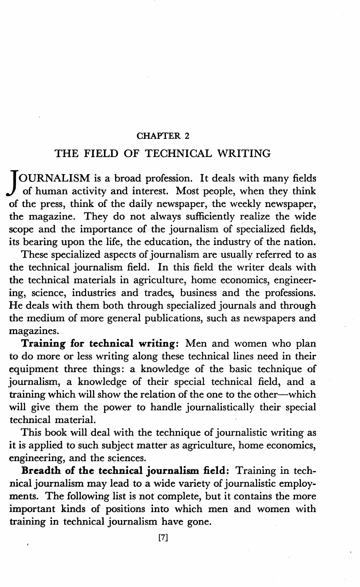### CHAPTER 2

# THE FIELD OF TECHNICAL WRITING

JOURNALISM is a broad profession. It deals with many fields of human activity and interest. Most people, when they think of the press, think of the daily newspaper, the weekly newspaper, the magazine. They do not always sufficiently realize the wide scope and the importance of the journalism of specialized fields, its bearing upon the life, the education, the industry of the nation.

These specialized aspects of journalism are usually referred to as the technical journalism field. In this field the writer deals with the technical materials in agriculture, home economics, engineering, science, industries and trades, business and the professions. He deals with them both through specialized journals and through the medium of more general publications, such as newspapers and magazines.

**Training for technical writing:** Men and women who plan to do more or less writing along these technical lines need in their equipment three things: a knowledge of the basic technique of journalism, a knowledge of their special technical field, and a training which will show the relation of the one to the other-which will give them the power to handle journalistically their special technical material.

This book will deal with the technique of journalistic writing as it is applied to such subject matter as agriculture, home economics, engineering, and the sciences.

**Breadth of the technical journalism. field:** Training in technical journalism may lead to a wide variety of journalistic employments. The following list is not complete, but it contains the more important kinds of positions into which men and women with training in technical journalism have gone.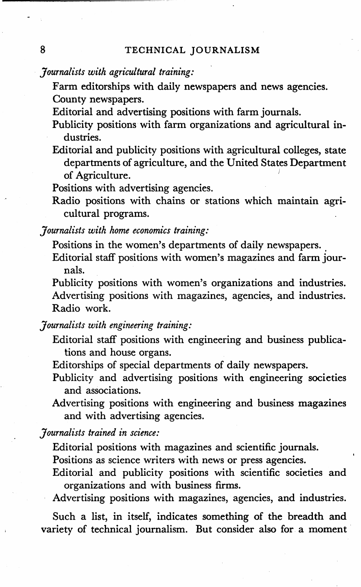## *Journalists with agricultural training:*

Farm editorships with daily newspapers and news agencies. County newspapers.

Editorial and advertising positions with farm journals.

- Publicity positions with farm organizations and agricultural industries.
- Editorial and publicity positions with agricultural colleges, state departments of agriculture, and the United States Department of Agriculture.

Positions with advertising agencies.

Radio positions with chains or stations which maintain agricultural programs.

*Journalists with home economics training:* 

Positions in the women's departments of daily newspapers.

Editorial staff positions with women's magazines and farm journals.

Publicity positions with women's organizations and industries. Advertising positions with magazines, agencies, and industries. Radio work.

### *Journalists with engineering training:*

Editorial staff positions with engineering and business publications and house organs.

Editorships of special departments of daily newspapers.

Publicity and advertising positions with engineering societies and associations.

Advertising positions with engineering and business magazines and with advertising agencies.

*Journalists trained in science:* 

Editorial positions with magazines and scientific journals.

Positions as science writers with news or press agencies.

Editorial and publicity positions with scientific societies and organizations and with business firms.

Advertising positions with magazines, agencies, and industries.

Such a list, in itself, indicates something of the breadth and variety of technical journalism. But consider also for a moment·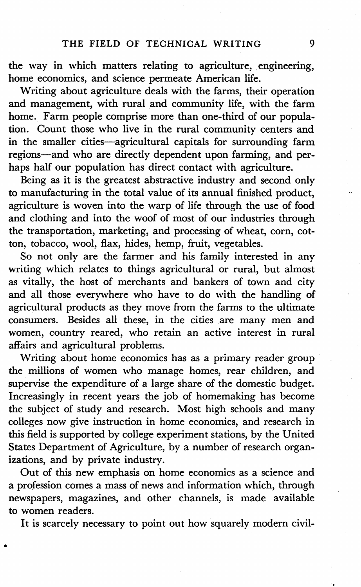the way in which matters relating to agriculture, engineering, home economics, and science permeate American life.

Writing about agriculture deals with the farms, their operation and management, with rural and community life, with the farm home. Farm people comprise more than one-third of our population. Count those who live in the rural community centers and in the smaller cities-agricultural capitals for surrounding farm regions-and who are directly dependent upon farming, and perhaps half our population has direct contact with agriculture.

Being as it is the greatest abstractive industry and second only to manufacturing in the total value of its annual finished product, agriculture is woven into the warp of life through the use of food and clothing and into the woof of most of our industries through the transportation, marketing, and processing of wheat, corn, cotton, tobacco, wool, flax, hides, hemp, fruit, vegetables.

So not only are the farmer and his family interested in any writing which relates to things agricultural or rural, but almost as vitally, the host of merchants and bankers of town and city and all those everywhere who have to do with the handling of agricultural products as they move from the farms to the ultimate consumers. Besides all these, in the cities are many men and women, country reared, who retain an active interest in rural affairs and agricultural problems.

Writing about home economics has as a primary reader group the millions of women who manage homes, rear children, and supervise the expenditure of a large share of the domestic budget. Increasingly in recent years the job of homemaking has become the subject of study and research. Most high schools and many colleges now give instruction in home economics, and research in this field is supported by college experiment stations, by the United States Department of Agriculture, by a number of research organizations, and by private industry.

Out of this new emphasis on home economics as a science and a profession comes a mass of news and information which, through newspapers, magazines, and other channels, is made available to women readers.

•

It is scarcely necessary to point out how squarely modern civil-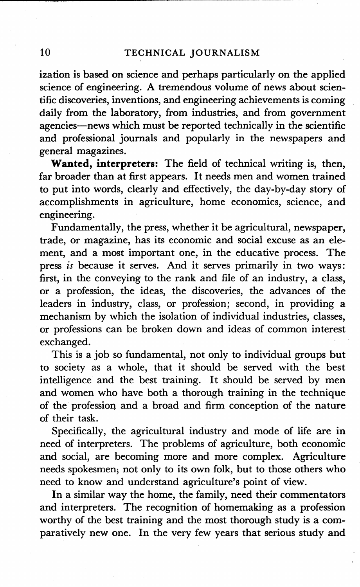ization is based on science and perhaps particularly on the applied science of engineering. A tremendous volume of news about scientific discoveries, inventions, and engineering achievements is coming daily from the laboratory, from industries, and from government agencies-news which must be reported technically in the scientific and professional journals and popularly in the newspapers and general magazines.

**Wanted, interpreters:** The field of technical writing is, then, far broader than at first appears. It needs men and women trained to put into words, clearly and effectively, the day-by-day story of accomplishments in agriculture, home economics, science, and engineering.

Fundamentally, the press, whether it be agricultural, newspaper, trade, or magazine, has its economic and social excuse as an element, and a most important one, in the educative process. The press *is* because it serves. And it serves primarily in two ways: first, in the conveying to the rank and file of an industry, a class, or a profession, the ideas, the discoveries, the advances of the leaders in industry, class, or profession; second, in providing a mechanism by which the isolation of individual industries, classes, or professions can be broken down and ideas of common interest exchanged.

This is a job so fundamental, not only to individual groups **but**  to society as a whole, that it should be served with the best intelligence and the best training. It should be served by men and women who have both a thorough training in the technique of the professioq. and a broad and firm conception of the nature of their task.

Specifically, the agricultural industry and mode of life are in need of interpreters. The problems of agriculture, both economic and social, are becoming more and more complex. Agriculture needs spokesmen; not only to its own folk, but to those others who need to know and understand agriculture's point of view.

In a similar way the home, the family, need their commentators and interpreters. The recognition of homemaking as a profession worthy of the best training and the most thorough study is a comparatively new one. In the very few years that serious study and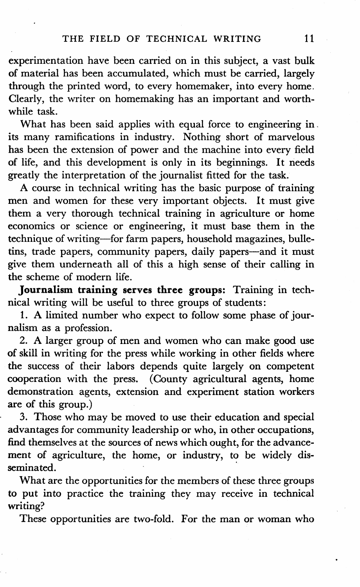experimentation have been carried on in this subject, a vast bulk of material has been accumulated, which must be carried, largely through the printed word, to every homemaker, into every home. Clearly, the writer on homemaking has an important and worthwhile task.

What has been said applies with equal force to engineering in. its many ramifications in industry. Nothing short of marvelous has been the extension of power and the machine into every field of life, and this development is only in its beginnings. It needs greatly the interpretation of the journalist fitted for the task.

A course in technical writing has the basic purpose of training men and women for these very important objects. It must give them a very thorough technical training in agriculture or home economics or science or engineering, it must base them in the technique of writing-for farm papers, household magazines, bulletins, trade papers, community papers, daily papers-and it must give them underneath all of this a high sense of their calling in the scheme of modern life.

**Journalism training serves three groups:** Training in technical writing will be useful to three groups of students:

1. A limited number who expect to follow some phase of journalism as a profession.

2. A larger group of men and women who can make good use of skill in writing for the press while working in other fields where the success of their labors depends quite largely on competent cooperation with the press. ( County agricultural agents, home demonstration agents, extension and experiment station workers are of this group.)

3. Those who may be moved to use their education and special advantages for community leadership or who, in other occupations, find themselves at the sources of news which ought, for the advancement of agriculture, the home, or industry, to be widely disseminated.

What are the opportunities for the members of these three groups to put into practice the training they may receive in technical writing?

These opportunities are two-fold. For the man or woman who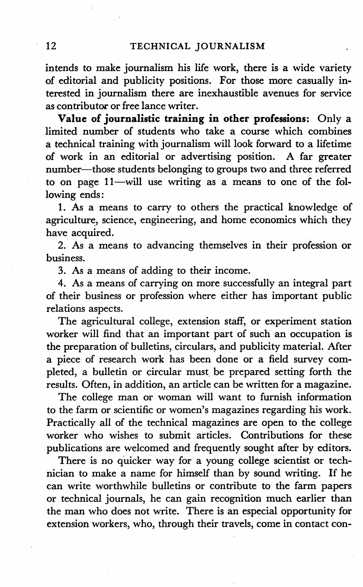intends to make journalism his life work, there is a wide variety of editorial and publicity positions. For those more casually interested in journalism there are inexhaustible avenues for service as contributor or free lance writer.

**Value of journalistic training in other professions:** Only a limited number of students who take a course which combines a technical training with journalism will look forward to a lifetime of work in an editorial or advertising position. A far greater number-those students belonging to groups two and three referred to on page 11-will use writing as a means to one of the following ends:

1. As a means to carry to others the practical knowledge of agriculture, science, engineering, and home economics which they have acquired.

2. As a means to advancing themselves in their profession or business.

3. As a means of adding to their income.

4. As a means of carrying on more successfully an integral part of their business or profession where either has important public relations aspects.

The agricultural college, extension staff, or experiment station worker will find that an important part of such an occupation is the preparation of bulletins, circulars, and publicity material. After a piece of research work has been done or a field survey completed, a bulletin or circular must, be prepared setting forth the results. Often, in addition, an article can be written for a magazine.

The college man or woman will want to furnish information to the farm or scientific or women's magazines regarding his work. Practically all of the technical magazines are open to the college worker who wishes to submit articles. Contributions for these publications are welcomed and frequently sought after by editors.

There is no quicker way for a young college scientist or technician to make a name for himself than by sound writing. If he can write worthwhile bulletins or contribute to the farm papers or technical journals, he can gain recognition much earlier than the man who does not write. There is an especial opportunity for extension workers, who, through their travels, come in contact con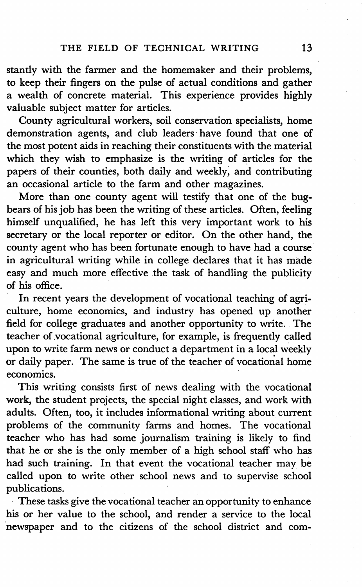stantly with the farmer and the homemaker and their problems, to keep their fingers on the pulse of actual conditions and gather a wealth of concrete material. This experience provides highly valuable subject matter for articles.

County agricultural workers, soil conservation specialists, home demonstration agents, and club leaders have found that one of the most potent aids in reaching their constituents with the material which they wish to emphasize is the writing of articles for the papers of their counties, both daily and weekly; and contributing an occasional article to the farm and other magazines.

More than one county agent will testify that one of the bugbears of his job has been the writing of these articles. Often, feeling himself unqualified, he has left this very important work to his secretary or the local reporter or editor. On the other hand, the county agent who has been fortunate enough to have had a course in agricultural writing while in college declares that it has made easy and much more effective the task of handling the publicity of his office.

In recent years the development of vocational teaching of agriculture, home economics, and industry has opened up another field for college graduates and another opportunity to write. The teacher of vocational agriculture, for example, is frequently called upon to write farm news or conduct a department in a local weekly or daily paper. The same is true of the teacher of vocational home economics.

This writing consists first of news dealing with the vocational work, the student projects, the special night classes, and work with adults. Often, too, it includes informational writing about current problems of the community farms and homes. The vocational teacher who has had some journalism training is likely to find that he or she is the only member of a high school staff who has had such training. In that event the vocational teacher may be called upon to write other school news and to supervise school publications.

These tasks give the vocational teacher an opportunity to enhance his or her value to the school, and render a service to the local newspaper and to the citizens of the school district and com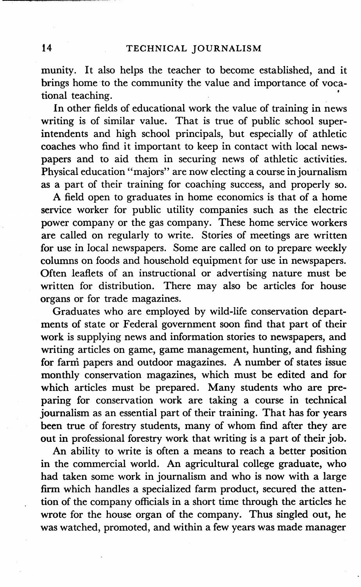munity. It also helps the teacher to become established, and it brings home to the community the value and importance of vocational teaching.

In other fields of educational work the value of training in news writing is of similar value. That is true of public school superintendents and high school principals, but especially of athletic coaches who find it important to keep in contact with local newspapers and to aid them in securing news of athletic activities. Physical education "majors" are now electing a course in journalism as a part of their training for coaching success, and properly so.

A field open to graduates in home economics is that of a home service worker for public utility companies such as the electric power company or the gas company. These home service workers are called on regularly to write. Stories of meetings are written for use in local newspapers. Some are called on to prepare weekly columns on foods and household equipment for use in newspapers. Often leaflets of an instructional or advertising nature must be written for distribution. There may also be articles for house organs or for trade magazines.

Graduates who are employed by wild-life conservation departments of state or Federal government soon find that part of their work is supplying news and information stories to newspapers, and writing articles on game, game management, hunting, and fishing for farni papers and outdoor magazines. A number of states issue monthly conservation magazines, which must be edited and for which articles must be prepared. Many students who are preparing for conservation work are taking a course in technical journalism as an essential part of their training. That has for years been true of forestry students, many of whom find after they are out in professional forestry work that writing is a part of their job.

An ability to write is often a means to reach a better position in the commercial world. An agricultural college graduate, who had taken some work in journalism and who is now with a large firm which handles a specialized farm product, secured the attention of the company officials in a short time through the articles he wrote for the house organ of the company. Thus singled out, he was watched, promoted, and within a few years was made manager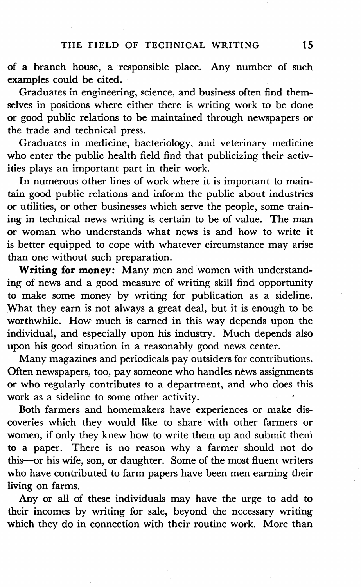of a branch house, a responsible place. Any number of such examples could be cited.

Graduates in engineering, science, and business of ten find themselves in positions where either there is writing work to be done or good public relations to be maintained through newspapers or the trade and technical press.

Graduates in medicine, bacteriology, and veterinary medicine who enter the public health field find that publicizing their activities plays an important part in their work.

In numerous other lines of work where it is important to maintain good public relations and inform the public about industries or utilities, or other businesses which serve the people, some training in technical news writing is certain to be of value. The man or woman who understands what news is and how to write it is better equipped to cope with whatever circumstance may arise than one without such preparation.

**Writing for money:** Many men and women with understanding of news and a good measure of writing skill find opportunity to make some money by writing for publication as a sideline. What they earn is not always a great deal, but it is enough to be worthwhile. How much is earned in this way depends upon the individual, and especially upon his industry. Much depends also upon his good situation in a reasonably good news center.

Many magazines and periodicals pay outsiders for contributions. Often newspapers, too, pay someone who handles news assignments or who regularly contributes to a department, and who does this work as a sideline to some other activity.

Both farmers and homemakers have experiences or make discoveries which they would like to share with other farmers or women, if only they knew how to write them up and submit them **to** a paper. There is no reason why a farmer should not do this--or his wife, son, or daughter. Some of the most fluent writers who have contributed to farm papers have been men earning their living on farms.

Any or all of these individuals may have the urge to add to their incomes by writing for sale, beyond the necessary writing which they do in connection with their routine work. More than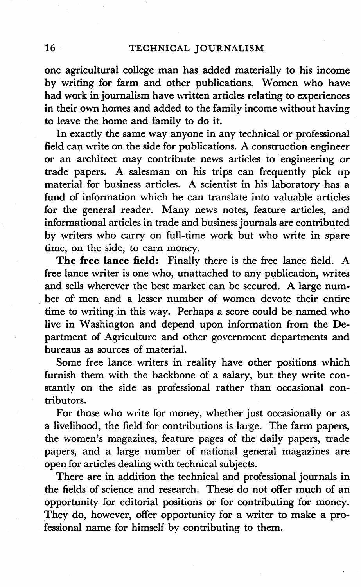one agricultural college man has added materially to his income by writing for farm and other publications. Women who have had work in journalism have written articles relating to experiences in their own homes and added to the family income without having to leave the home and family to do it.

In exactly the same. way anyone in any technical or professional field can write on the side for publications. A construction engineer or an architect may contribute news articles to engineering or trade papers. A salesman on his trips can frequently pick up material for business articles. A scientist in his laboratory has a fund of information which he can translate into valuable articles for the general reader. Many news notes, feature articles, and informational articles in trade and business journals are contributed by writers who carry on full-time work but who write in spare time, on the side, to earn money.

**The free lance field:** Finally there is the free lance field. A free lance writer is one who, unattached to any publication, writes and sells wherever the best market can be secured. A large num- . her of men and a lesser number of women devote their entire time to writing in this way. Perhaps a score could be named who live in Washington and depend upon information from the Department of Agriculture and other government departments and bureaus as sources of material.

Some free lance writers in' reality have other positions which furnish them with the backbone of a salary, but they write constantly on the side as professional rather than occasional contributors.

For those who write for money, whether just occasionally or as a livelihood, the field for contributions is large. The farm papers, the women's magazines, feature pages of the daily papers, trade papers, and a large number of national general magazines are open for articles dealing with technical subjects.

There are in addition the technical and professional journals in the fields of science and research. These do not offer much of an opportunity for editorial positions or for contributing for money. They do, however, offer opportunity for a writer to make a professional name for himself by contributing to them.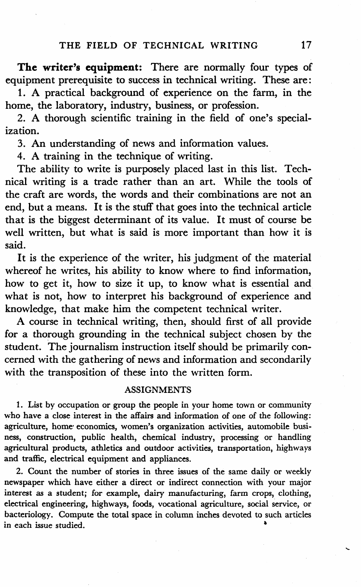**The writer's equipment:** There are normally four types of equipment prerequisite to success in technical writing. These are:

**1. A** practical background of experience on the farm, in the home, the laboratory, industry, business, or profession.

2. A thorough scientific training in the field of one's specialization.

3. An understanding of news and information values.

4. A training in the technique of writing.

The ability to write is purposely placed last in this list. Technical writing is a trade rather than an art. While the tools of the craft are words, the words and their combinations are not an end, but a means. It is the stuff that goes into the technical article that is the biggest determinant of its value. It must of course be well written, but what is said is more important than how it is said.

It is the experience of the writer, his judgment of the material whereof he writes, his ability to know where to find information, how to get it, how to size it up, to know what is essential and what is not, how to interpret his background of experience and knowledge, that make him the competent technical writer.

A course in technical writing, then, should first of all provide for a thorough grounding in the technical subject chosen by the student. The journalism instruction itself should be primarily concerned with the gathering of news and information and secondarily with the transposition of these into the written form.

#### **ASSIGNMENTS**

1. List by occupation or group the people in your home town or community who have a close interest in the affairs and information of one of the following: agriculture, home economics, women's organization activities, automobile business, construction, public health, chemical industry, processing or handling agricultural products, athletics and outdoor activities, transportation, highways and traffic, electrical equipment and appliances.

2. Count the number of stories in three issues of the same daily or weekly newspaper which have either a direct or indirect connection with your major interest as a student; for example, dairy manufacturing, farm crops, clothing, electrical engineering, highways, foods, vocational agriculture, social service, or bacteriology. Compute the total space in column inches devoted to such articles in each issue studied. •